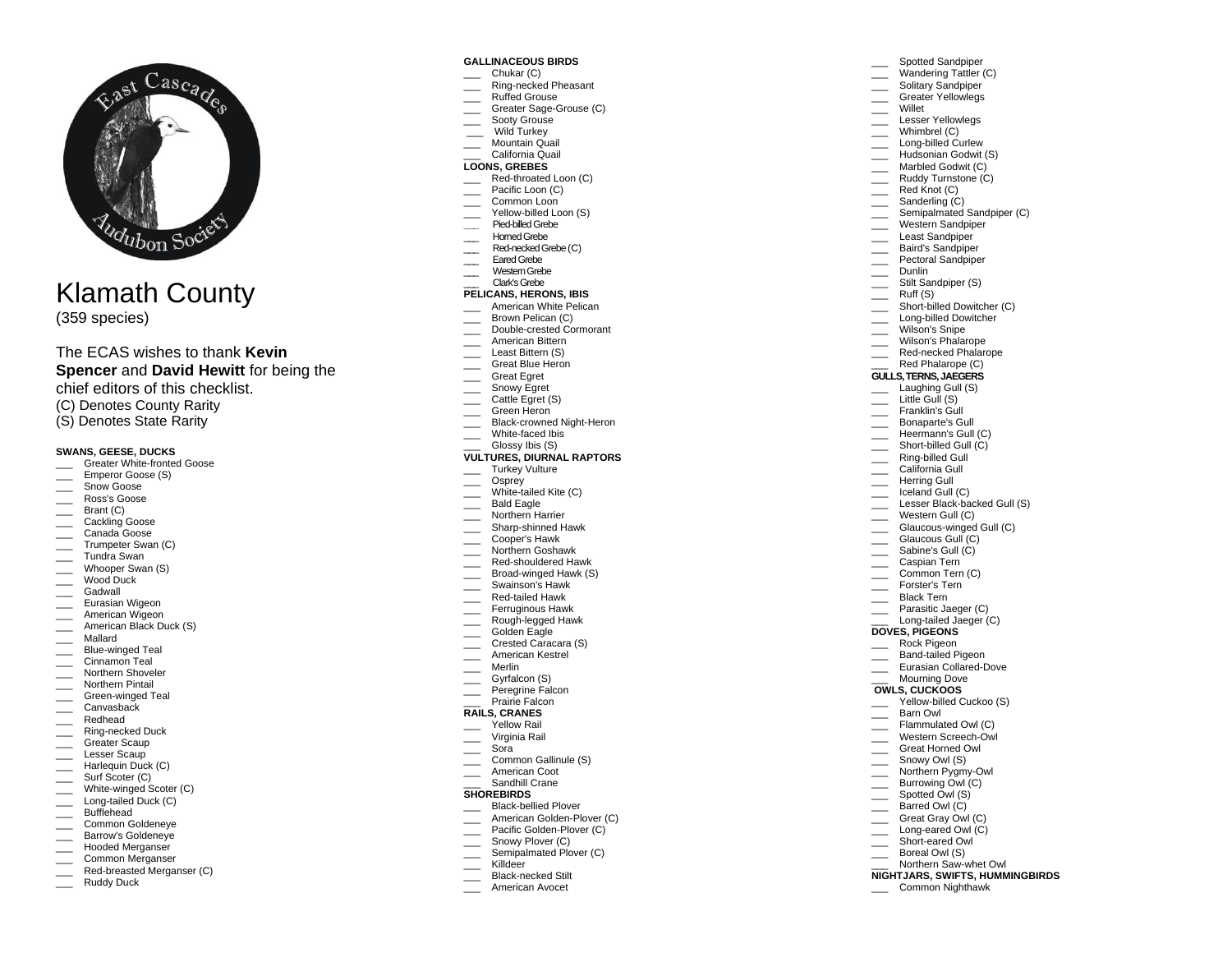

# Klamath County

(359 species)

The ECAS wishes to thank **Kevin Spencer** and **David Hewitt** for being the chief editors of this checklist.

- (C) Denotes County Rarity
- (S) Denotes State Rarity

## **SWANS, GEESE, DUCKS**

- Greater White-fronted Goose
- Emperor Goose (S)
- $\equiv$  Snow Goose
- \_\_\_ Ross's Goose
- \_\_\_ Brant (C)
- \_\_\_ Cackling Goose
- \_\_\_ Canada Goose **Trumpeter Swan (C)**
- \_\_\_ Tundra Swan
- Whooper Swan (S)
- \_\_\_ Wood Duck
- \_\_\_ Gadwall
- \_\_\_ Eurasian Wigeon
- \_\_\_\_ American Wigeon
- **Example 2** American Black Duck (S)
- \_\_\_ Mallard
- \_\_\_ Blue-winged Teal
- $\equiv$  Cinnamon Teal
- \_\_\_ Northern Shoveler
- \_\_\_ Northern Pintail
- \_\_\_ Green-winged Teal
- \_\_\_ Canvasback
- \_\_\_ Redhead
- \_\_\_ Ring-necked Duck
- Greater Scaup
- \_\_\_ Lesser Scaup Harlequin Duck (C)
- Surf Scoter (C)
- White-winged Scoter (C)
- Long-tailed Duck (C)
- \_\_\_ Bufflehead
- \_\_\_ Common Goldeneye
- **Exercise Section** Barrow's Goldeneye
- Hooded Merganser
- **Common Merganser**
- Red-breasted Merganser (C)
- Ruddy Duck

#### **GALLINACEOUS BIRDS**

Chukar (C) Ring-necked Pheasant Spotted Sandpiper Wandering Tattler (C) Solitary Sandpiper Greater Yellowlegs

\_\_\_ Semipalmated Sandpiper (C) \_\_\_ Western Sandpiper \_\_\_\_ Least Sandpiper \_\_\_ Baird's Sandpiper Pectoral Sandpiper

Stilt Sandpiper (S)

Short-billed Dowitcher (C) Long-billed Dowitcher Wilson's Snipe Wilson's Phalarope Red-necked Phalarope Red Phalarope (C) **GULLS, TERNS, JAEGERS** \_\_\_ Laughing Gull (S) Little Gull (S) Franklin's Gull \_\_\_ Bonaparte's Gull Heermann's Gull (C) Short-billed Gull (C) \_\_\_ Ring-billed Gull \_\_\_ California Gull \_\_\_ Herring Gull Iceland Gull (C) Lesser Black-backed Gull (S) \_\_\_ Western Gull (C)

Glaucous-winged Gull (C)

Yellow-billed Cuckoo (S)

Northern Saw-whet Owl **NIGHTJARS, SWIFTS, HUMMINGBIRDS**

\_\_\_ Common Nighthawk

\_\_\_ Glaucous Gull (C) Sabine's Gull (C) \_\_\_ Caspian Tern Common Tern (C) \_\_\_ Forster's Tern Black Tern \_\_\_ Parasitic Jaeger (C) Long-tailed Jaeger (C)

**DOVES, PIGEONS** \_\_\_ Rock Pigeon Band-tailed Pigeon Eurasian Collared-Dove Mourning Dove **OWLS, CUCKOOS**

\_\_\_ Barn Owl Flammulated Owl (C) Western Screech-Owl \_\_\_ Great Horned Owl Snowy Owl (S) Northern Pygmy-Owl \_\_\_ Burrowing Owl (C) Spotted Owl (S) Barred Owl (C) \_\_\_ Great Gray Owl (C) Long-eared Owl (C) Short-eared Owl Boreal Owl (S)

\_\_\_ Willet Lesser Yellowlegs Whimbrel (C) Long-billed Curlew Hudsonian Godwit (S) **Marbled Godwit (C)** \_\_\_ Ruddy Turnstone (C) \_\_\_\_ Red Knot (C) \_\_\_\_\_ Sanderling (C)

\_\_\_ Dunlin

 $\qquad \qquad$  Ruff (S)

- \_\_\_ Ruffed Grouse
- Greater Sage-Grouse (C)
- Sooty Grouse
- \_\_\_ Wild Turkey
- Mountain Quail \_\_\_ California Quail

# **LOONS, GREBES**

- Red-throated Loon (C)
- \_\_\_ Pacific Loon (C)
- \_\_\_ Common Loon
- Yellow-billed Loon (S)
- **\_\_\_** Pied-billed Grebe
- \_\_\_ Horned Grebe
- \_\_\_\_ Red-necked Grebe (C)
- \_\_\_ Eared Grebe
- \_\_\_ Western Grebe \_\_\_ Clark's Grebe
- **PELICANS, HERONS, IBIS**

# American White Pelican

- Erown Pelican (C)
- \_\_\_ Double-crested Cormorant
- \_\_\_ American Bittern
- Least Bittern (S)
- Great Blue Heron
- \_\_\_ Great Egret
- $\equiv$  Snowy Egret
- Cattle Egret (S)
- Green Heron
- Black-crowned Night-Heron
- \_\_\_ White-faced Ibis
- Glossy Ibis (S)

#### **VULTURES, DIURNAL RAPTORS**

- \_\_\_ Turkey Vulture
- \_\_\_ Osprey
- White-tailed Kite (C)
- Bald Eagle
- \_\_\_ Northern Harrier
- \_\_\_ Sharp-shinned Hawk
- \_\_\_ Cooper's Hawk
- **Northern Goshawk**
- \_\_\_ Red-shouldered Hawk
- Broad-winged Hawk (S)
- \_\_\_ Swainson's Hawk
- \_\_\_ Red-tailed Hawk
- Ferruginous Hawk
- \_\_\_ Rough-legged Hawk
- Golden Eagle
- Crested Caracara (S)
- \_\_\_ American Kestrel
- \_\_\_ Merlin
- \_\_\_ Gyrfalcon (S)
- Peregrine Falcon

#### Prairie Falcon **RAILS, CRANES**

- \_\_\_ Yellow Rail \_\_\_ Virginia Rail
- \_\_\_ Sora

**SHOREBIRDS**

Killdeer Black-necked Stilt American Avocet

- \_\_\_ Common Gallinule (S)
- American Coot Sandhill Crane

Black-bellied Plover American Golden-Plover (C) Pacific Golden-Plover (C) Snowy Plover (C) Semipalmated Plover (C)